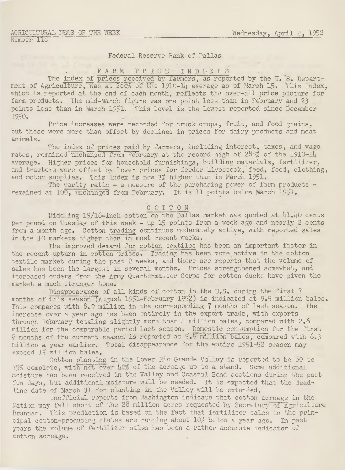### Federal Reserve Bank of Dallas

# . FARM PRICE INDEXES

The index of prices received by farmers, as reported by the U. S. Department of Agriculture, was at 288% of the 1910-14 average as of March 15. This index. which is reported at the end of each month, reflects the over-all price picture for farm products. The mid-March figure was one point less than in February and 23 points less than in March 1951. This level is the lowest reported since December 1950.

Price increases were recorded for truck crops, fruit, and food grains, but these were more than offset by declines in prices for dairy products and meat animals.

The index of prices paid by farmers, including interest, taxes, and wage rates, remained unchanged from February at the record high of 288% of the 1910-llj. average. Higher prices for household furnishings, building materials, fertilizer, and tractors were offset by lower prices for feeder livestock, feed, food, clothing, and motor supplies. This index is now 3% higher than in March 1951.

The parity ratio - a measure of the purchasing power of farm products remained at 100, unchanged from February. It is 11 points below March 1951.

### COTTON

Middling 15/16-inch cotton on the Dallas market was quoted at 41.40 cents per pound on Tuesday of this week - up 15 points from a week ago and nearly 2 cents from a month ago. Cotton trading continues moderately active, with reported sales in the 10 markets higher than in most recent weeks.

The improved demand for cotton textiles has been an important factor in the recent upturn in cotton prices. Trading has been more active in the cotton textile market during the past 2 weeks, and there are reports that the volume of sales has been the largest in several months. Prices strengthened somewhat, and increased orders from the Army Quartermaster Corps for cotton ducks have given the market a much stronger tone.

Disappearance of all kinds of cotton in the U.S. during the first 7 months of this season (August 1951-February 1952) is indicated at 9.5 million bales. This compares with  $8.9$  million in the corresponding 7 months of last season. The increase over a year ago has been entirely in the export trade, with exports through February totaling slightly more than *h* million bales, compared with 2.6 million for the comparable period last season. Domestic consumption for the first 7 months of the current season is reported at  $5.5$  million bales, compared with  $6.3$ million a year earlier. Total disappearance for the entire 1951-52 season may exceed 15 million bales.

Cotton planting in the Lower Rio Grande Valley is reported to be 60 to 75% complete, with not over how of the acreage up to a stand. Some additional moisture has been received in the Valley and Coastal Bend sections during the past few days, but additional moisture will be needed. It is expected that the deadline date of March 31 for planting in the Valley will be extended.

Unofficial reports from Washington indicate that cotton acreage in the Nation may fall short of the 28 million acres requested by Secretary of Agriculture Brannan. This prediction is based on the fact that fertilizer sales in the principal cotton-producing states are running about 10% below a year ago. In past years the volume of fertilizer sales has been a rather accurate indicator of cotton acreage.